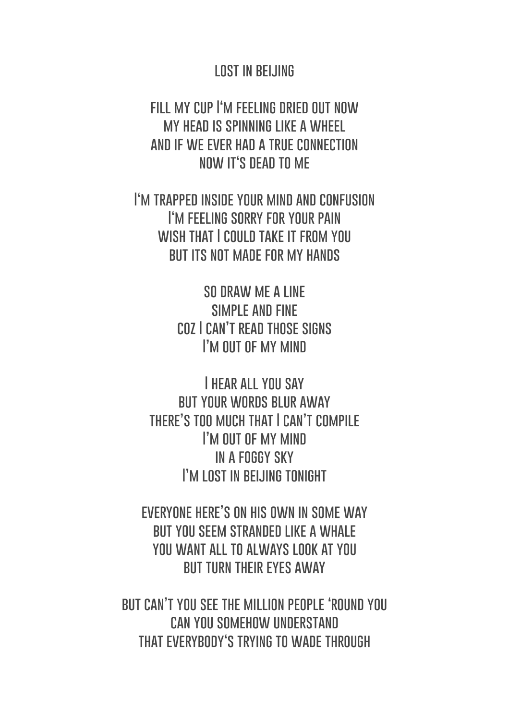## **LOST IN BELJING**

**fill my cup I'm feeling dried out now my head is spinning like a wheel and if we ever had a true connection now it's dead to me**

**I'm trapped inside your mind and confusion I'm feeling sorry for your pain wish that I could take it from you but its not made for my hands**

> **so draw me a line simple and fine coz I can't read those signs I'M OUT OF MY MIND**

**I hear all you say but your words blur away there's too much that I can't compile I'm out of my mind in a foggy sky I'm lost in beijing tonight**

**everyone here's on his own in some way but you seem stranded like a whale you want all to always look at you but turn their eyes away**

**but can't you see the million people 'round you can you somehow understand that everybody's trying to wade through**